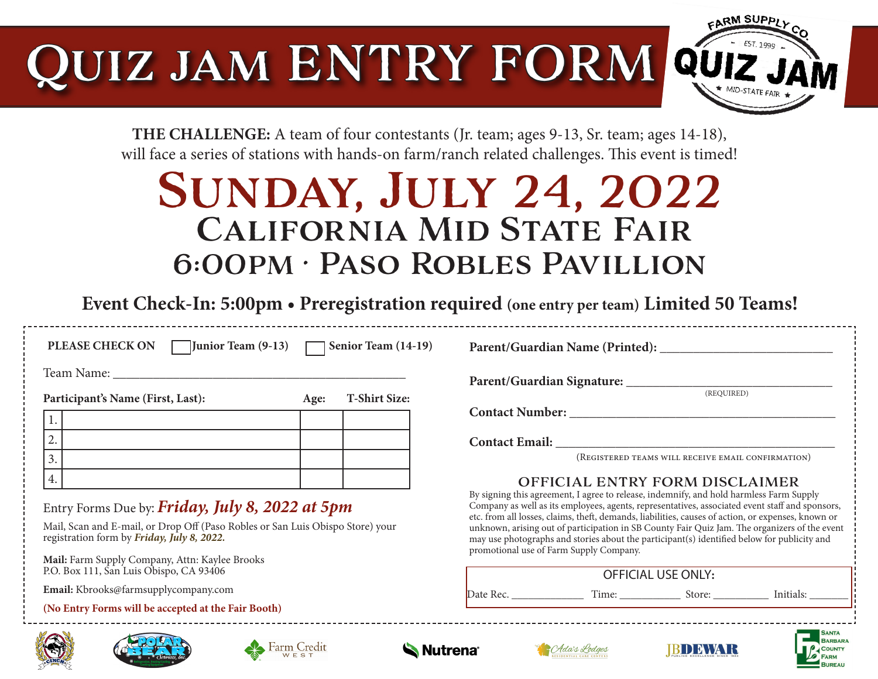# Quiz jam ENTRY FORM



**THE CHALLENGE:** A team of four contestants (Jr. team; ages 9-13, Sr. team; ages 14-18), will face a series of stations with hands-on farm/ranch related challenges. This event is timed!

# Sunday, July 24, 2022 California Mid State Fair 6:00pm • Paso Robles Pavillion

**Event Check-In: 5:00pm • Preregistration required (one entry per team) Limited 50 Teams!** 

**PLEASE CHECK ON Junior Team (9-13) Senior Team (14-19)** 

Team Name:

Participant's Name (First, Last): **Age:** T-Shirt Size:

|  |    | $-77$ | $\sim$ 0.1112 $\sim$ 0.120 $\sim$ |  |
|--|----|-------|-----------------------------------|--|
|  |    |       |                                   |  |
|  | ∼. |       |                                   |  |
|  |    |       |                                   |  |
|  | I. |       |                                   |  |

Entry Forms Due by: *Friday, July 8, 2022 at 5pm* 

Mail, Scan and E-mail, or Drop Off (Paso Robles or San Luis Obispo Store) your registration form by *Friday, July 8, 2022.* 

**Mail:** Farm Supply Company, Attn: Kaylee Brooks P.O. Box 111, San Luis Obispo, CA 93406

 **Email:** Kbrooks@farmsupplycompany.com

**(No Entry Forms will be accepted at the Fair Booth)**







**Parent/Guardian Name (Printed): \_\_\_\_\_\_\_\_\_\_\_\_\_\_\_\_\_\_\_\_\_\_\_\_\_\_**

**Parent/Guardian Signature: \_\_\_\_\_\_\_\_\_\_\_\_\_\_\_\_\_\_\_\_\_\_\_\_\_\_\_\_\_\_\_**

(REQUIRED)

**Contact Number: \_\_\_\_\_\_\_\_\_\_\_\_\_\_\_\_\_\_\_\_\_\_\_\_\_\_\_\_\_\_\_\_\_\_\_\_\_\_\_\_**

Contact Email:

(Registered teams will receive email confirmation)

#### OFFICIAL ENTRY FORM DISCLAIMER

By signing this agreement, I agree to release, indemnify, and hold harmless Farm Supply Company as well as its employees, agents, representatives, associated event staff and sponsors, etc. from all losses, claims, theft, demands, liabilities, causes of action, or expenses, known or unknown, arising out of participation in SB County Fair Quiz Jam. The organizers of the event may use photographs and stories about the participant(s) identified below for publicity and promotional use of Farm Supply Company.

| <b>OFFICIAL USE ONLY:</b> |  |  |  |  |  |  |  |
|---------------------------|--|--|--|--|--|--|--|
| Date Rec.                 |  |  |  |  |  |  |  |